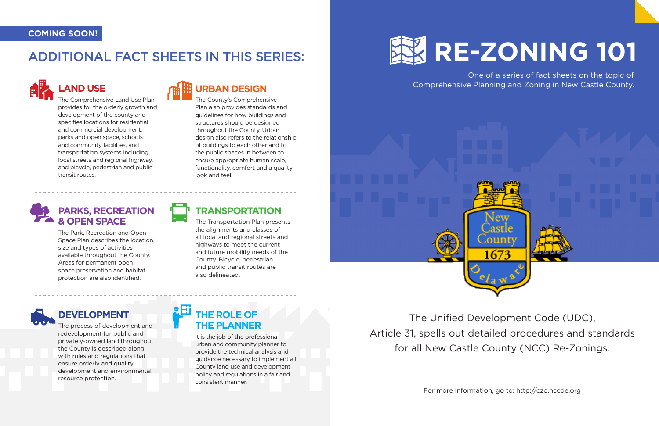

One of a series of fact sheets on the topic of Comprehensive Planning and Zoning in New Castle County.



The Unified Development Code (UDC), Article 31, spells out detailed procedures and standards for all New Castle County (NCC) Re-Zonings.

For more information, go to: http://czo.nccde.org